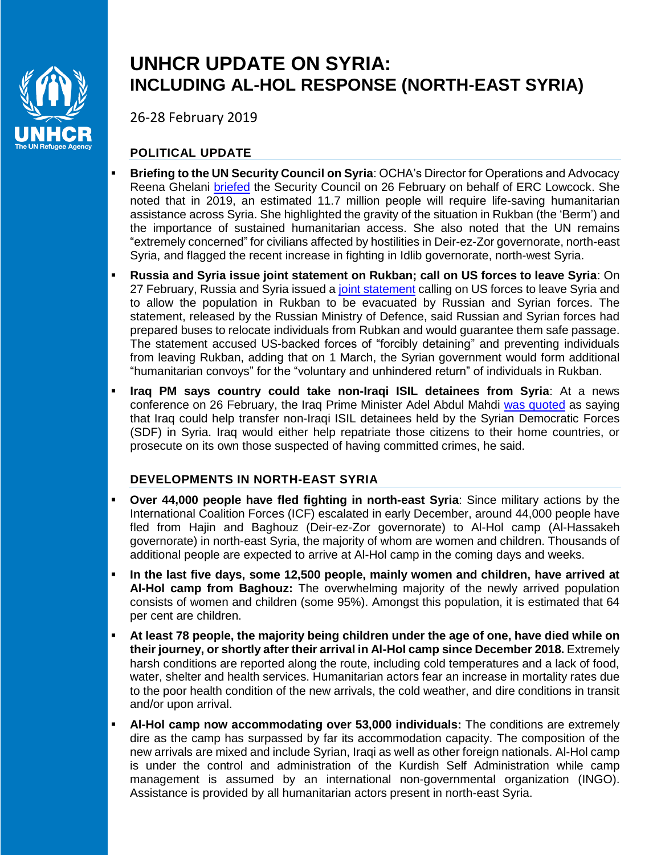

## **UNHCR UPDATE ON SYRIA: INCLUDING AL-HOL RESPONSE (NORTH-EAST SYRIA)**

26-28 February 2019

## **POLITICAL UPDATE**

- **Briefing to the UN Security Council on Syria**: OCHA's Director for Operations and Advocacy Reena Ghelani [briefed](https://reliefweb.int/report/syrian-arab-republic/behalf-under-secretary-general-humanitarian-affairs-and-emergency-1) the Security Council on 26 February on behalf of ERC Lowcock. She noted that in 2019, an estimated 11.7 million people will require life-saving humanitarian assistance across Syria. She highlighted the gravity of the situation in Rukban (the 'Berm') and the importance of sustained humanitarian access. She also noted that the UN remains "extremely concerned" for civilians affected by hostilities in Deir-ez-Zor governorate, north-east Syria, and flagged the recent increase in fighting in Idlib governorate, north-west Syria.
- **Russia and Syria issue joint statement on Rukban; call on US forces to leave Syria**: On 27 February, Russia and Syria issued a [joint statement](http://syria.mil.ru/en/index/syria/news/more.htm?id=12219225@egNews) calling on US forces to leave Syria and to allow the population in Rukban to be evacuated by Russian and Syrian forces. The statement, released by the Russian Ministry of Defence, said Russian and Syrian forces had prepared buses to relocate individuals from Rubkan and would guarantee them safe passage. The statement accused US-backed forces of "forcibly detaining" and preventing individuals from leaving Rukban, adding that on 1 March, the Syrian government would form additional "humanitarian convoys" for the "voluntary and unhindered return" of individuals in Rukban.
- **Iraq PM says country could take non-Iraqi ISIL detainees from Syria**: At a news conference on 26 February, the Iraq Prime Minister Adel Abdul Mahdi [was quoted](https://www.reuters.com/article/us-iraq-islamicstate/iraq-pm-says-country-could-take-non-iraqi-is-detainees-from-syria-idUSKCN1QF2WK) as saying that Iraq could help transfer non-Iraqi ISIL detainees held by the Syrian Democratic Forces (SDF) in Syria. Iraq would either help repatriate those citizens to their home countries, or prosecute on its own those suspected of having committed crimes, he said.

## **DEVELOPMENTS IN NORTH-EAST SYRIA**

- **Over 44,000 people have fled fighting in north-east Syria**: Since military actions by the International Coalition Forces (ICF) escalated in early December, around 44,000 people have fled from Hajin and Baghouz (Deir-ez-Zor governorate) to Al-Hol camp (Al-Hassakeh governorate) in north-east Syria, the majority of whom are women and children. Thousands of additional people are expected to arrive at Al-Hol camp in the coming days and weeks.
- **In the last five days, some 12,500 people, mainly women and children, have arrived at Al-Hol camp from Baghouz:** The overwhelming majority of the newly arrived population consists of women and children (some 95%). Amongst this population, it is estimated that 64 per cent are children.
- **At least 78 people, the majority being children under the age of one, have died while on their journey, or shortly after their arrival in Al-Hol camp since December 2018.** Extremely harsh conditions are reported along the route, including cold temperatures and a lack of food, water, shelter and health services. Humanitarian actors fear an increase in mortality rates due to the poor health condition of the new arrivals, the cold weather, and dire conditions in transit and/or upon arrival.
- **Al-Hol camp now accommodating over 53,000 individuals:** The conditions are extremely dire as the camp has surpassed by far its accommodation capacity. The composition of the new arrivals are mixed and include Syrian, Iraqi as well as other foreign nationals. Al-Hol camp is under the control and administration of the Kurdish Self Administration while camp management is assumed by an international non-governmental organization (INGO). Assistance is provided by all humanitarian actors present in north-east Syria.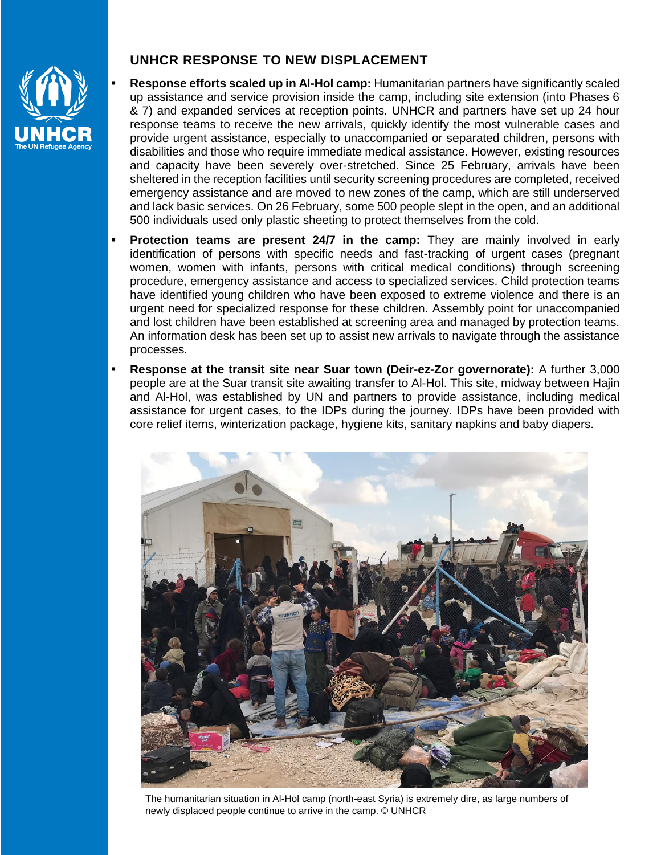

## **UNHCR RESPONSE TO NEW DISPLACEMENT**

- **Response efforts scaled up in Al-Hol camp:** Humanitarian partners have significantly scaled up assistance and service provision inside the camp, including site extension (into Phases 6 & 7) and expanded services at reception points. UNHCR and partners have set up 24 hour response teams to receive the new arrivals, quickly identify the most vulnerable cases and provide urgent assistance, especially to unaccompanied or separated children, persons with disabilities and those who require immediate medical assistance. However, existing resources and capacity have been severely over-stretched. Since 25 February, arrivals have been sheltered in the reception facilities until security screening procedures are completed, received emergency assistance and are moved to new zones of the camp, which are still underserved and lack basic services. On 26 February, some 500 people slept in the open, and an additional 500 individuals used only plastic sheeting to protect themselves from the cold.
- **Protection teams are present 24/7 in the camp:** They are mainly involved in early identification of persons with specific needs and fast-tracking of urgent cases (pregnant women, women with infants, persons with critical medical conditions) through screening procedure, emergency assistance and access to specialized services. Child protection teams have identified young children who have been exposed to extreme violence and there is an urgent need for specialized response for these children. Assembly point for unaccompanied and lost children have been established at screening area and managed by protection teams. An information desk has been set up to assist new arrivals to navigate through the assistance processes.
- **Response at the transit site near Suar town (Deir-ez-Zor governorate):** A further 3,000 people are at the Suar transit site awaiting transfer to Al-Hol. This site, midway between Hajin and Al-Hol, was established by UN and partners to provide assistance, including medical assistance for urgent cases, to the IDPs during the journey. IDPs have been provided with core relief items, winterization package, hygiene kits, sanitary napkins and baby diapers.



The humanitarian situation in Al-Hol camp (north-east Syria) is extremely dire, as large numbers of newly displaced people continue to arrive in the camp. © UNHCR